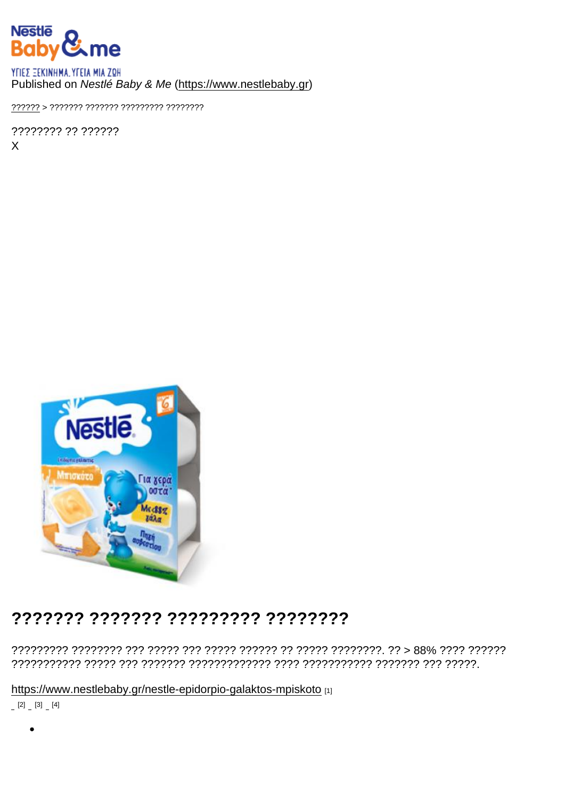### Published on Nestlé Baby & Me (https://www.nestlebaby.gr)

???????? ?? ??????  $\mathsf{X}$ 

## ??????? ??????? ???????? ????????

https://www.nestlebaby.gr/nestle-epidorpio-galaktos-mpiskoto [1]

 $[2]$   $[3]$   $[4]$ 

 $\bullet$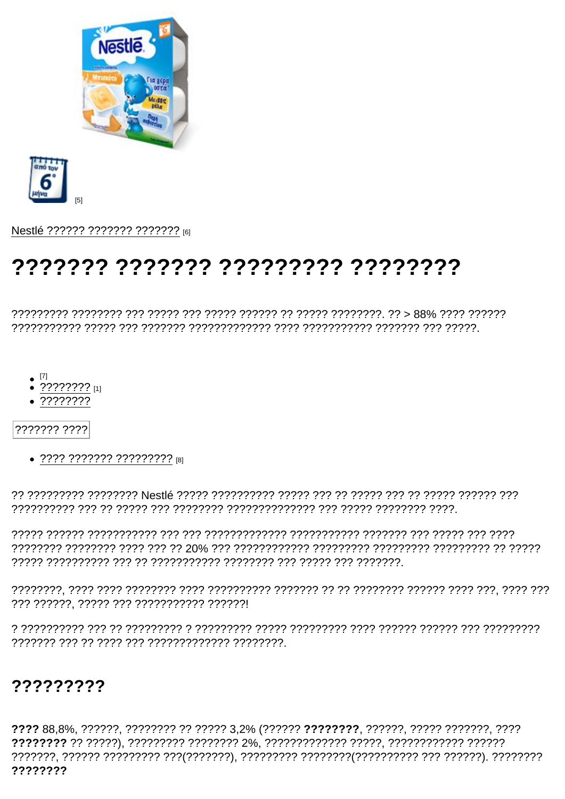$[5]$ 

Nestlé ?????? ??????? ??????? [6]

# <u> とととととととととととことととととととととととととととととととところ</u>

- 
- $\bullet$  ???????? [1]
- $.77777777$
- ??????? ????
	- ???? ??????? ?????????? [8]

### 777777777

???? 88,8%, ??????, ???????? ?? ????? 3,2% (?????? ???????? , ??????, ????? ??????, ???? ????????